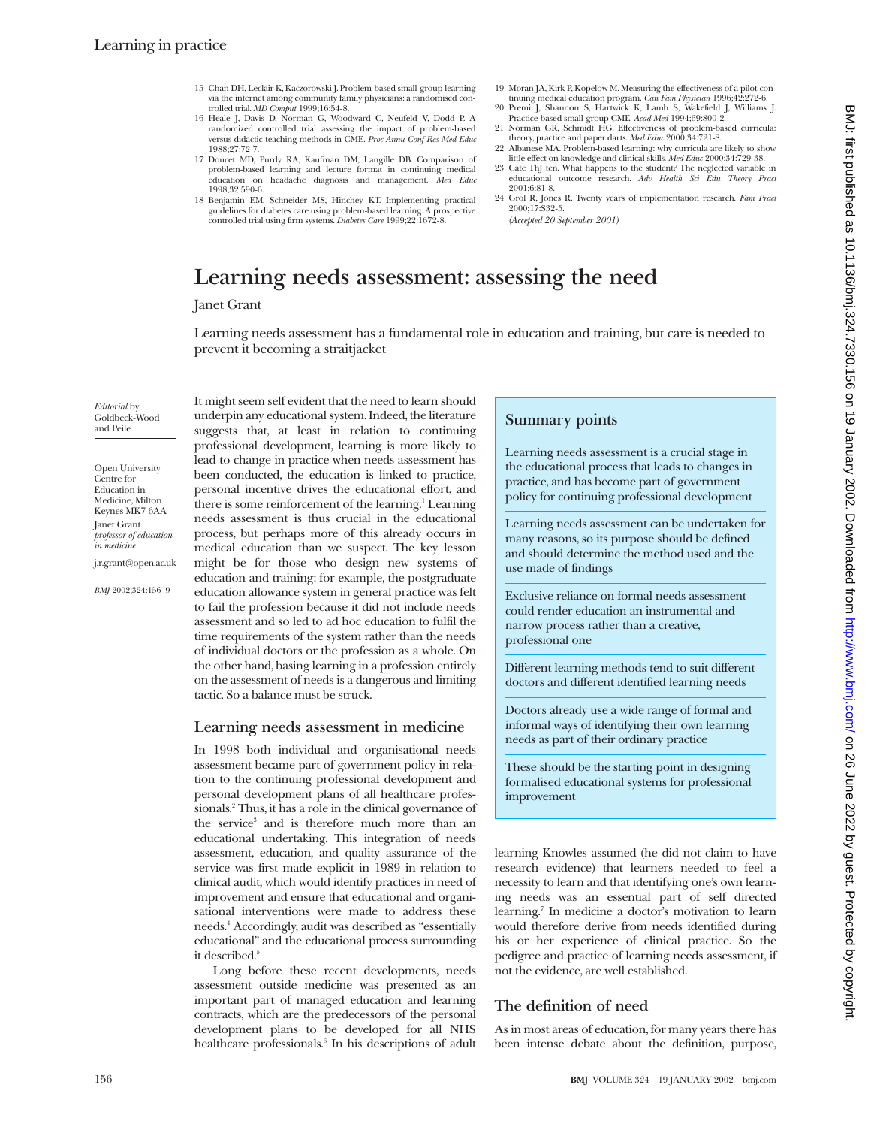- 15 Chan DH, Leclair K, Kaczorowski J. Problem-based small-group learning via the internet among community family physicians: a randomised controlled trial. *MD Comput* 1999;16:54-8.
- 16 Heale J, Davis D, Norman G, Woodward C, Neufeld V, Dodd P. A randomized controlled trial assessing the impact of problem-based versus didactic teaching methods in CME. *Proc Annu Conf Res Med Educ* 1988;27:72-7.
- 17 Doucet MD, Purdy RA, Kaufman DM, Langille DB. Comparison of problem-based learning and lecture format in continuing medical education on headache diagnosis and management. *Med Educ* 1998;32:590-6.
- 18 Benjamin EM, Schneider MS, Hinchey KT. Implementing practical guidelines for diabetes care using problem-based learning. A prospective controlled trial using firm systems. *Diabetes Care* 1999;22:1672-8.
- 19 Moran JA, Kirk P, Kopelow M. Measuring the effectiveness of a pilot continuing medical education program. *Can Fam Physician* 1996;42:272-6.
- 20 Premi J, Shannon S, Hartwick K, Lamb S, Wakefield J, Williams J.
- Practice-based small-group CME. *Acad Med* 1994;69:800-2. 21 Norman GR, Schmidt HG. Effectiveness of problem-based curricula: theory, practice and paper darts. *Med Educ* 2000;34:721-8.
- 22 Albanese MA. Problem-based learning: why curricula are likely to show little effect on knowledge and clinical skills. *Med Educ* 2000;34:729-38.
- 23 Cate ThJ ten. What happens to the student? The neglected variable in educational outcome research. *Adv Health Sci Edu Theory Pract* 2001;6:81-8.
- 24 Grol R, Jones R. Twenty years of implementation research. *Fam Pract* 2000;17:S32-5.

*(Accepted 20 September 2001)*

# **Learning needs assessment: assessing the need**

# Janet Grant

Learning needs assessment has a fundamental role in education and training, but care is needed to prevent it becoming a straitjacket

#### *Editorial* by Goldbeck-Wood and Peile

Open University Centre for Education in Medicine, Milton Keynes MK7 6AA Janet Grant *professor of education in medicine*

j.r.grant@open.ac.uk *BMJ* 2002;324:156–9

It might seem self evident that the need to learn should underpin any educational system. Indeed, the literature suggests that, at least in relation to continuing professional development, learning is more likely to lead to change in practice when needs assessment has been conducted, the education is linked to practice, personal incentive drives the educational effort, and there is some reinforcement of the learning.<sup>1</sup> Learning needs assessment is thus crucial in the educational process, but perhaps more of this already occurs in medical education than we suspect. The key lesson might be for those who design new systems of education and training: for example, the postgraduate education allowance system in general practice was felt to fail the profession because it did not include needs assessment and so led to ad hoc education to fulfil the time requirements of the system rather than the needs of individual doctors or the profession as a whole. On the other hand, basing learning in a profession entirely on the assessment of needs is a dangerous and limiting tactic. So a balance must be struck.

## **Learning needs assessment in medicine**

In 1998 both individual and organisational needs assessment became part of government policy in relation to the continuing professional development and personal development plans of all healthcare professionals.<sup>2</sup> Thus, it has a role in the clinical governance of the service<sup>3</sup> and is therefore much more than an educational undertaking. This integration of needs assessment, education, and quality assurance of the service was first made explicit in 1989 in relation to clinical audit, which would identify practices in need of improvement and ensure that educational and organisational interventions were made to address these needs.4 Accordingly, audit was described as "essentially educational" and the educational process surrounding it described.<sup>5</sup>

Long before these recent developments, needs assessment outside medicine was presented as an important part of managed education and learning contracts, which are the predecessors of the personal development plans to be developed for all NHS healthcare professionals.<sup>6</sup> In his descriptions of adult

## **Summary points**

Learning needs assessment is a crucial stage in the educational process that leads to changes in practice, and has become part of government policy for continuing professional development

Learning needs assessment can be undertaken for many reasons, so its purpose should be defined and should determine the method used and the use made of findings

Exclusive reliance on formal needs assessment could render education an instrumental and narrow process rather than a creative, professional one

Different learning methods tend to suit different doctors and different identified learning needs

Doctors already use a wide range of formal and informal ways of identifying their own learning needs as part of their ordinary practice

These should be the starting point in designing formalised educational systems for professional improvement

learning Knowles assumed (he did not claim to have research evidence) that learners needed to feel a necessity to learn and that identifying one's own learning needs was an essential part of self directed learning.<sup>7</sup> In medicine a doctor's motivation to learn would therefore derive from needs identified during his or her experience of clinical practice. So the pedigree and practice of learning needs assessment, if not the evidence, are well established.

# **The definition of need**

As in most areas of education, for many years there has been intense debate about the definition, purpose,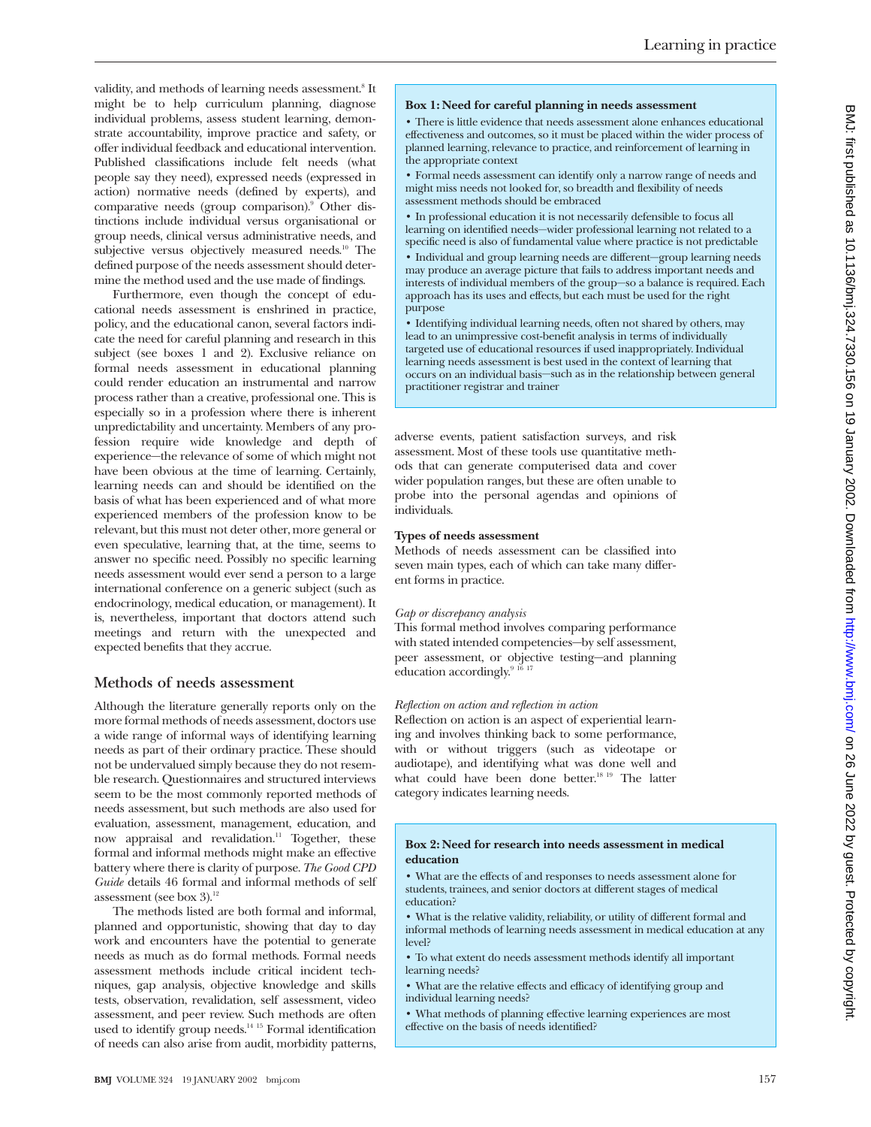validity, and methods of learning needs assessment.<sup>8</sup> It might be to help curriculum planning, diagnose individual problems, assess student learning, demonstrate accountability, improve practice and safety, or offer individual feedback and educational intervention. Published classifications include felt needs (what people say they need), expressed needs (expressed in action) normative needs (defined by experts), and comparative needs (group comparison). $9$  Other distinctions include individual versus organisational or group needs, clinical versus administrative needs, and subjective versus objectively measured needs.<sup>10</sup> The defined purpose of the needs assessment should determine the method used and the use made of findings.

Furthermore, even though the concept of educational needs assessment is enshrined in practice, policy, and the educational canon, several factors indicate the need for careful planning and research in this subject (see boxes 1 and 2). Exclusive reliance on formal needs assessment in educational planning could render education an instrumental and narrow process rather than a creative, professional one. This is especially so in a profession where there is inherent unpredictability and uncertainty. Members of any profession require wide knowledge and depth of experience—the relevance of some of which might not have been obvious at the time of learning. Certainly, learning needs can and should be identified on the basis of what has been experienced and of what more experienced members of the profession know to be relevant, but this must not deter other, more general or even speculative, learning that, at the time, seems to answer no specific need. Possibly no specific learning needs assessment would ever send a person to a large international conference on a generic subject (such as endocrinology, medical education, or management). It is, nevertheless, important that doctors attend such meetings and return with the unexpected and expected benefits that they accrue.

# **Methods of needs assessment**

Although the literature generally reports only on the more formal methods of needs assessment, doctors use a wide range of informal ways of identifying learning needs as part of their ordinary practice. These should not be undervalued simply because they do not resemble research. Questionnaires and structured interviews seem to be the most commonly reported methods of needs assessment, but such methods are also used for evaluation, assessment, management, education, and now appraisal and revalidation.<sup>11</sup> Together, these formal and informal methods might make an effective battery where there is clarity of purpose. *The Good CPD Guide* details 46 formal and informal methods of self assessment (see box 3). $^{12}$ 

The methods listed are both formal and informal, planned and opportunistic, showing that day to day work and encounters have the potential to generate needs as much as do formal methods. Formal needs assessment methods include critical incident techniques, gap analysis, objective knowledge and skills tests, observation, revalidation, self assessment, video assessment, and peer review. Such methods are often used to identify group needs.<sup>14 15</sup> Formal identification of needs can also arise from audit, morbidity patterns,

#### **Box 1: Need for careful planning in needs assessment**

• There is little evidence that needs assessment alone enhances educational effectiveness and outcomes, so it must be placed within the wider process of planned learning, relevance to practice, and reinforcement of learning in the appropriate context

• Formal needs assessment can identify only a narrow range of needs and might miss needs not looked for, so breadth and flexibility of needs assessment methods should be embraced

• In professional education it is not necessarily defensible to focus all learning on identified needs—wider professional learning not related to a specific need is also of fundamental value where practice is not predictable • Individual and group learning needs are different—group learning needs may produce an average picture that fails to address important needs and interests of individual members of the group—so a balance is required. Each approach has its uses and effects, but each must be used for the right purpose

• Identifying individual learning needs, often not shared by others, may lead to an unimpressive cost-benefit analysis in terms of individually targeted use of educational resources if used inappropriately. Individual learning needs assessment is best used in the context of learning that occurs on an individual basis—such as in the relationship between general practitioner registrar and trainer

adverse events, patient satisfaction surveys, and risk assessment. Most of these tools use quantitative methods that can generate computerised data and cover wider population ranges, but these are often unable to probe into the personal agendas and opinions of individuals.

#### **Types of needs assessment**

Methods of needs assessment can be classified into seven main types, each of which can take many different forms in practice.

#### *Gap or discrepancy analysis*

This formal method involves comparing performance with stated intended competencies—by self assessment, peer assessment, or objective testing—and planning education accordingly. $9^{9}$  16 17

#### *Reflection on action and reflection in action*

Reflection on action is an aspect of experiential learning and involves thinking back to some performance, with or without triggers (such as videotape or audiotape), and identifying what was done well and what could have been done better.<sup>18 19</sup> The latter category indicates learning needs.

#### **Box 2: Need for research into needs assessment in medical education**

• What are the effects of and responses to needs assessment alone for students, trainees, and senior doctors at different stages of medical education?

• What is the relative validity, reliability, or utility of different formal and informal methods of learning needs assessment in medical education at any level?

- To what extent do needs assessment methods identify all important learning needs?
- What are the relative effects and efficacy of identifying group and individual learning needs?
- What methods of planning effective learning experiences are most effective on the basis of needs identified?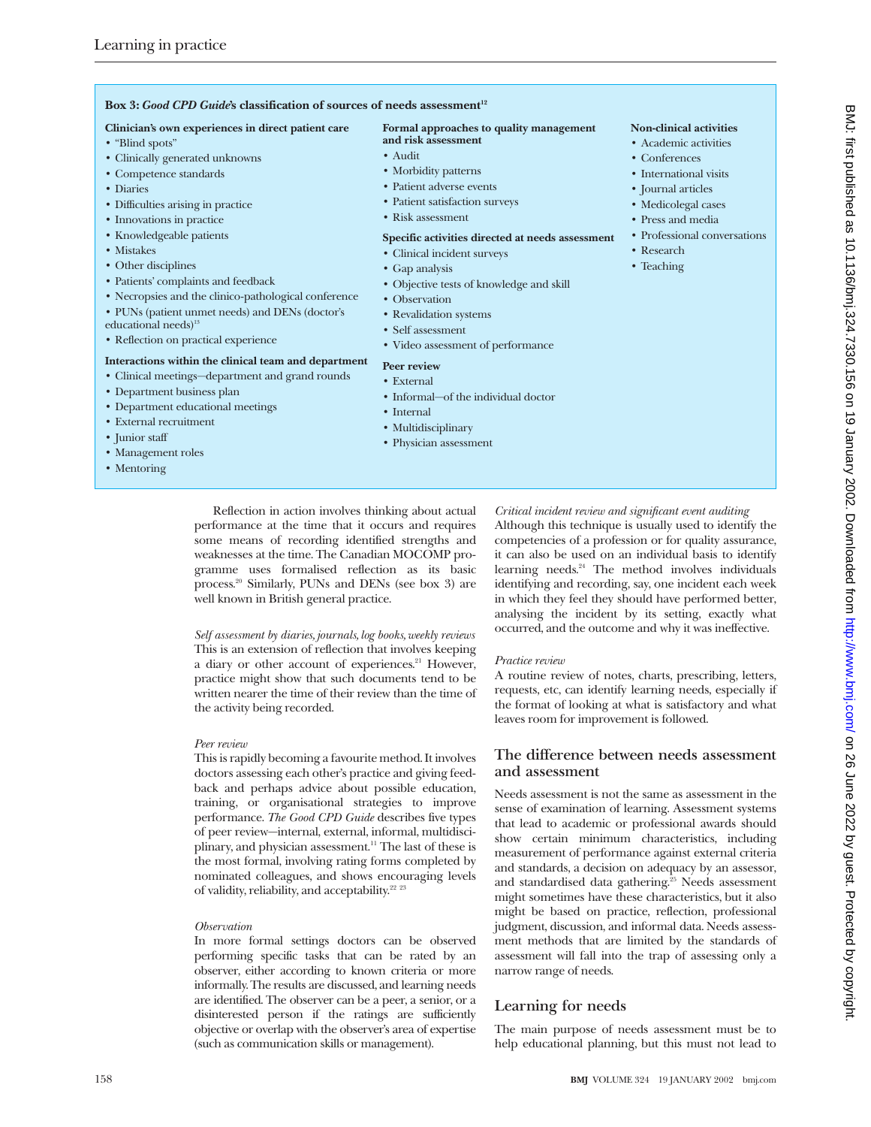| Box 3: Good CPD Guide's classification of sources of needs assessment <sup>12</sup>                                                                                                                                                                                                                                                                                                                                                                                                                                       |                                                                                                                                                                                                                                                                                                                                                                                                                                                             |                                                                                                                                                                                                                                                  |
|---------------------------------------------------------------------------------------------------------------------------------------------------------------------------------------------------------------------------------------------------------------------------------------------------------------------------------------------------------------------------------------------------------------------------------------------------------------------------------------------------------------------------|-------------------------------------------------------------------------------------------------------------------------------------------------------------------------------------------------------------------------------------------------------------------------------------------------------------------------------------------------------------------------------------------------------------------------------------------------------------|--------------------------------------------------------------------------------------------------------------------------------------------------------------------------------------------------------------------------------------------------|
| Clinician's own experiences in direct patient care<br>$\bullet$ "Blind spots"<br>• Clinically generated unknowns<br>• Competence standards<br>• Diaries<br>• Difficulties arising in practice<br>• Innovations in practice<br>• Knowledgeable patients<br>• Mistakes<br>• Other disciplines<br>• Patients' complaints and feedback<br>• Necropsies and the clinico-pathological conference<br>• PUNs (patient unmet needs) and DENs (doctor's<br>educational needs) <sup>13</sup><br>• Reflection on practical experience | Formal approaches to quality management<br>and risk assessment<br>$\bullet$ Audit<br>• Morbidity patterns<br>• Patient adverse events<br>• Patient satisfaction surveys<br>• Risk assessment.<br>Specific activities directed at needs assessment<br>• Clinical incident surveys<br>$\bullet$ Gap analysis<br>• Objective tests of knowledge and skill<br>• Observation<br>• Revalidation systems<br>• Self assessment<br>• Video assessment of performance | <b>Non-clinical activities</b><br>• Academic activities<br>$\bullet$ Conferences<br>• International visits<br>• Journal articles<br>• Medicolegal cases<br>• Press and media<br>• Professional conversations<br>• Research<br>$\bullet$ Teaching |
|                                                                                                                                                                                                                                                                                                                                                                                                                                                                                                                           |                                                                                                                                                                                                                                                                                                                                                                                                                                                             |                                                                                                                                                                                                                                                  |

## **Interactions within the clinical team and department**

- Clinical meetings—department and grand rounds • Department business plan
- Department educational meetings
- External recruitment
- Junior staff
- Management roles
- Mentoring

#### **Peer review**

- External
- Informal—of the individual doctor
- Internal
- Multidisciplinary
- Physician assessment

Reflection in action involves thinking about actual performance at the time that it occurs and requires some means of recording identified strengths and weaknesses at the time. The Canadian MOCOMP programme uses formalised reflection as its basic process.20 Similarly, PUNs and DENs (see box 3) are well known in British general practice.

*Self assessment by diaries, journals, log books, weekly reviews* This is an extension of reflection that involves keeping a diary or other account of experiences.<sup>21</sup> However, practice might show that such documents tend to be written nearer the time of their review than the time of the activity being recorded.

#### *Peer review*

This is rapidly becoming a favourite method. It involves doctors assessing each other's practice and giving feedback and perhaps advice about possible education, training, or organisational strategies to improve performance. *The Good CPD Guide* describes five types of peer review—internal, external, informal, multidisciplinary, and physician assessment.<sup>11</sup> The last of these is the most formal, involving rating forms completed by nominated colleagues, and shows encouraging levels of validity, reliability, and acceptability.<sup>22</sup> <sup>23</sup>

#### *Observation*

In more formal settings doctors can be observed performing specific tasks that can be rated by an observer, either according to known criteria or more informally. The results are discussed, and learning needs are identified. The observer can be a peer, a senior, or a disinterested person if the ratings are sufficiently objective or overlap with the observer's area of expertise (such as communication skills or management).

#### *Critical incident review and significant event auditing* Although this technique is usually used to identify the competencies of a profession or for quality assurance, it can also be used on an individual basis to identify learning needs.<sup>24</sup> The method involves individuals identifying and recording, say, one incident each week in which they feel they should have performed better, analysing the incident by its setting, exactly what occurred, and the outcome and why it was ineffective.

#### *Practice review*

A routine review of notes, charts, prescribing, letters, requests, etc, can identify learning needs, especially if the format of looking at what is satisfactory and what leaves room for improvement is followed.

## **The difference between needs assessment and assessment**

Needs assessment is not the same as assessment in the sense of examination of learning. Assessment systems that lead to academic or professional awards should show certain minimum characteristics, including measurement of performance against external criteria and standards, a decision on adequacy by an assessor, and standardised data gathering.<sup>25</sup> Needs assessment might sometimes have these characteristics, but it also might be based on practice, reflection, professional judgment, discussion, and informal data. Needs assessment methods that are limited by the standards of assessment will fall into the trap of assessing only a narrow range of needs.

# **Learning for needs**

The main purpose of needs assessment must be to help educational planning, but this must not lead to